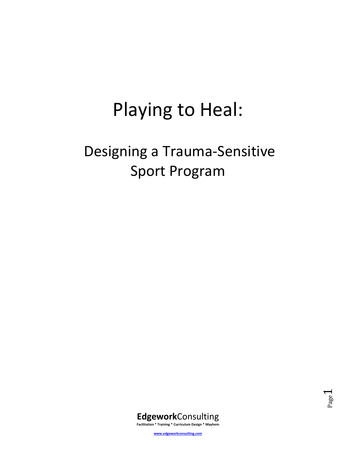# Playing to Heal:

## Designing a Trauma-Sensitive Sport Program





**www.edgeworkconsulting.com**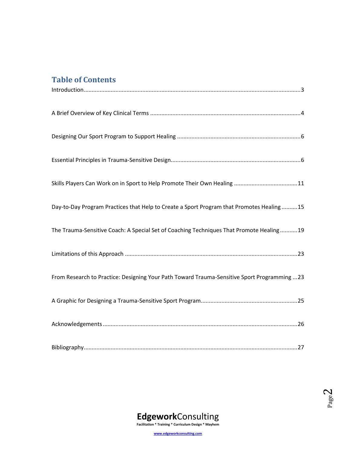## **Table of Contents**

| Day-to-Day Program Practices that Help to Create a Sport Program that Promotes Healing15    |
|---------------------------------------------------------------------------------------------|
| The Trauma-Sensitive Coach: A Special Set of Coaching Techniques That Promote Healing19     |
|                                                                                             |
| From Research to Practice: Designing Your Path Toward Trauma-Sensitive Sport Programming 23 |
|                                                                                             |
|                                                                                             |
|                                                                                             |



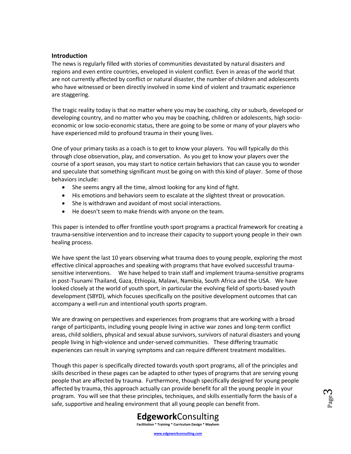#### <span id="page-2-0"></span>**Introduction**

The news is regularly filled with stories of communities devastated by natural disasters and regions and even entire countries, enveloped in violent conflict. Even in areas of the world that are not currently affected by conflict or natural disaster, the number of children and adolescents who have witnessed or been directly involved in some kind of violent and traumatic experience are staggering.

The tragic reality today is that no matter where you may be coaching, city or suburb, developed or developing country, and no matter who you may be coaching, children or adolescents, high socioeconomic or low socio-economic status, there are going to be some or many of your players who have experienced mild to profound trauma in their young lives.

One of your primary tasks as a coach is to get to know your players. You will typically do this through close observation, play, and conversation. As you get to know your players over the course of a sport season, you may start to notice certain behaviors that can cause you to wonder and speculate that something significant must be going on with this kind of player. Some of those behaviors include:

- She seems angry all the time, almost looking for any kind of fight.
- His emotions and behaviors seem to escalate at the slightest threat or provocation.
- She is withdrawn and avoidant of most social interactions.
- He doesn't seem to make friends with anyone on the team.

This paper is intended to offer frontline youth sport programs a practical framework for creating a trauma-sensitive intervention and to increase their capacity to support young people in their own healing process.

We have spent the last 10 years observing what trauma does to young people, exploring the most effective clinical approaches and speaking with programs that have evolved successful traumasensitive interventions. We have helped to train staff and implement trauma-sensitive programs in post-Tsunami Thailand, Gaza, Ethiopia, Malawi, Namibia, South Africa and the USA. We have looked closely at the world of youth sport, in particular the evolving field of sports-based youth development (SBYD), which focuses specifically on the positive development outcomes that can accompany a well-run and intentional youth sports program.

We are drawing on perspectives and experiences from programs that are working with a broad range of participants, including young people living in active war zones and long-term conflict areas, child soldiers, physical and sexual abuse survivors, survivors of natural disasters and young people living in high-violence and under-served communities. These differing traumatic experiences can result in varying symptoms and can require different treatment modalities.

Though this paper is specifically directed towards youth sport programs, all of the principles and skills described in these pages can be adapted to other types of programs that are serving young people that are affected by trauma. Furthermore, though specifically designed for young people affected by trauma, this approach actually can provide benefit for all the young people in your program. You will see that these principles, techniques, and skills essentially form the basis of a safe, supportive and healing environment that all young people can benefit from.



Page ო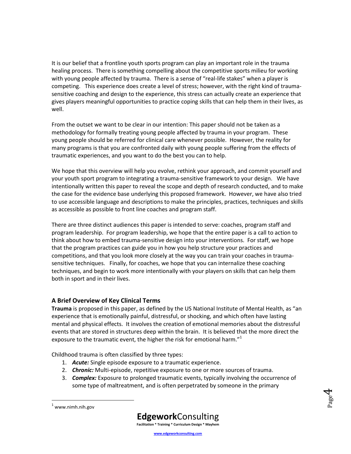It is our belief that a frontline youth sports program can play an important role in the trauma healing process. There is something compelling about the competitive sports milieu for working with young people affected by trauma. There is a sense of "real-life stakes" when a player is competing. This experience does create a level of stress; however, with the right kind of traumasensitive coaching and design to the experience, this stress can actually create an experience that gives players meaningful opportunities to practice coping skills that can help them in their lives, as well.

From the outset we want to be clear in our intention: This paper should not be taken as a methodology for formally treating young people affected by trauma in your program. These young people should be referred for clinical care whenever possible. However, the reality for many programs is that you are confronted daily with young people suffering from the effects of traumatic experiences, and you want to do the best you can to help.

We hope that this overview will help you evolve, rethink your approach, and commit yourself and your youth sport program to integrating a trauma-sensitive framework to your design. We have intentionally written this paper to reveal the scope and depth of research conducted, and to make the case for the evidence base underlying this proposed framework. However, we have also tried to use accessible language and descriptions to make the principles, practices, techniques and skills as accessible as possible to front line coaches and program staff.

There are three distinct audiences this paper is intended to serve: coaches, program staff and program leadership. For program leadership, we hope that the entire paper is a call to action to think about how to embed trauma-sensitive design into your interventions. For staff, we hope that the program practices can guide you in how you help structure your practices and competitions, and that you look more closely at the way you can train your coaches in traumasensitive techniques. Finally, for coaches, we hope that you can internalize these coaching techniques, and begin to work more intentionally with your players on skills that can help them both in sport and in their lives.

## <span id="page-3-0"></span>**A Brief Overview of Key Clinical Terms**

**Trauma** is proposed in this paper, as defined by the US National Institute of Mental Health, as "an experience that is emotionally painful, distressful, or shocking, and which often have lasting mental and physical effects. It involves the creation of emotional memories about the distressful events that are stored in structures deep within the brain. It is believed that the more direct the exposure to the traumatic event, the higher the risk for emotional harm."<sup>1</sup>

Childhood trauma is often classified by three types:

- 1. *Acute:* Single episode exposure to a traumatic experience.
- 2. *Chronic:* Multi-episode, repetitive exposure to one or more sources of trauma.
- 3. *Complex:* Exposure to prolonged traumatic events, typically involving the occurrence of some type of maltreatment, and is often perpetrated by someone in the primary





 $\overline{\phantom{a}}$ 



**Facilitation \* Training \* Curriculum Design \* Mayhem**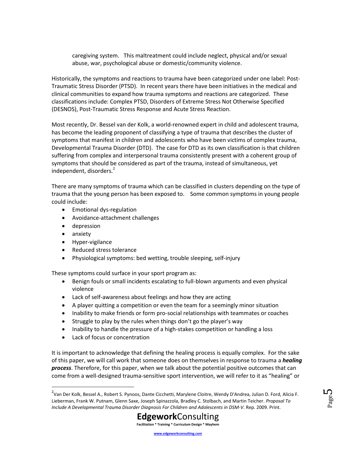caregiving system. This maltreatment could include neglect, physical and/or sexual abuse, war, psychological abuse or domestic/community violence.

Historically, the symptoms and reactions to trauma have been categorized under one label: Post-Traumatic Stress Disorder (PTSD). In recent years there have been initiatives in the medical and clinical communities to expand how trauma symptoms and reactions are categorized. These classifications include: Complex PTSD, Disorders of Extreme Stress Not Otherwise Specified (DESNOS), Post-Traumatic Stress Response and Acute Stress Reaction.

Most recently, Dr. Bessel van der Kolk, a world-renowned expert in child and adolescent trauma, has become the leading proponent of classifying a type of trauma that describes the cluster of symptoms that manifest in children and adolescents who have been victims of complex trauma, Developmental Trauma Disorder (DTD). The case for DTD as its own classification is that children suffering from complex and interpersonal trauma consistently present with a coherent group of symptoms that should be considered as part of the trauma, instead of simultaneous, yet independent, disorders.<sup>2</sup>

There are many symptoms of trauma which can be classified in clusters depending on the type of trauma that the young person has been exposed to. Some common symptoms in young people could include:

- Emotional dys-regulation
- Avoidance-attachment challenges
- depression
- anxiety

 $\overline{\phantom{a}}$ 

- Hyper-vigilance
- Reduced stress tolerance
- Physiological symptoms: bed wetting, trouble sleeping, self-injury

These symptoms could surface in your sport program as:

- Benign fouls or small incidents escalating to full-blown arguments and even physical violence
- Lack of self-awareness about feelings and how they are acting
- A player quitting a competition or even the team for a seemingly minor situation
- Inability to make friends or form pro-social relationships with teammates or coaches
- Struggle to play by the rules when things don't go the player's way
- Inability to handle the pressure of a high-stakes competition or handling a loss
- Lack of focus or concentration

It is important to acknowledge that defining the healing process is equally complex. For the sake of this paper, we will call work that someone does on themselves in response to trauma a *healing process*. Therefore, for this paper, when we talk about the potential positive outcomes that can come from a well-designed trauma-sensitive sport intervention, we will refer to it as "healing" or

Page ഥ



<sup>&</sup>lt;sup>2</sup>Van Der Kolk, Bessel A., Robert S. Pynoos, Dante Cicchetti, Marylene Cloitre, Wendy D'Andrea, Julian D. Ford, Alicia F. Lieberman, Frank W. Putnam, Glenn Saxe, Joseph Spinazzola, Bradley C. Stolbach, and Martin Teicher. *Proposal To Include A Developmental Trauma Disorder Diagnosis For Children and Adolescents in DSM-V*. Rep. 2009. Print.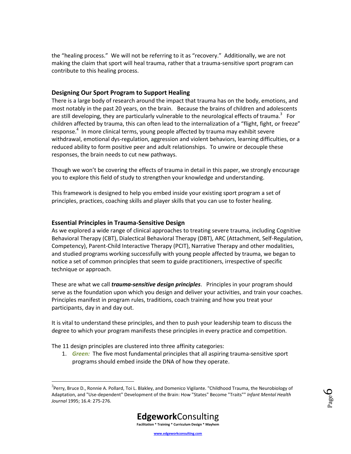the "healing process." We will not be referring to it as "recovery." Additionally, we are not making the claim that sport will heal trauma, rather that a trauma-sensitive sport program can contribute to this healing process.

### <span id="page-5-0"></span>**Designing Our Sport Program to Support Healing**

There is a large body of research around the impact that trauma has on the body, emotions, and most notably in the past 20 years, on the brain. Because the brains of children and adolescents are still developing, they are particularly vulnerable to the neurological effects of trauma.<sup>3</sup> For children affected by trauma, this can often lead to the internalization of a "flight, fight, or freeze" response.<sup>4</sup> In more clinical terms, young people affected by trauma may exhibit severe withdrawal, emotional dys-regulation, aggression and violent behaviors, learning difficulties, or a reduced ability to form positive peer and adult relationships. To unwire or decouple these responses, the brain needs to cut new pathways.

Though we won't be covering the effects of trauma in detail in this paper, we strongly encourage you to explore this field of study to strengthen your knowledge and understanding.

<span id="page-5-1"></span>This framework is designed to help you embed inside your existing sport program a set of principles, practices, coaching skills and player skills that you can use to foster healing.

## **Essential Principles in Trauma-Sensitive Design**

As we explored a wide range of clinical approaches to treating severe trauma, including Cognitive Behavioral Therapy (CBT), Dialectical Behavioral Therapy (DBT), ARC (Attachment, Self-Regulation, Competency), Parent-Child Interactive Therapy (PCIT), Narrative Therapy and other modalities, and studied programs working successfully with young people affected by trauma, we began to notice a set of common principles that seem to guide practitioners, irrespective of specific technique or approach.

These are what we call *trauma-sensitive design principles*. Principles in your program should serve as the foundation upon which you design and deliver your activities, and train your coaches. Principles manifest in program rules, traditions, coach training and how you treat your participants, day in and day out.

It is vital to understand these principles, and then to push your leadership team to discuss the degree to which your program manifests these principles in every practice and competition.

The 11 design principles are clustered into three affinity categories:

 $\overline{\phantom{a}}$ 

1. *Green:* The five most fundamental principles that all aspiring trauma-sensitive sport programs should embed inside the DNA of how they operate.



<sup>&</sup>lt;sup>3</sup>Perry, Bruce D., Ronnie A. Pollard, Toi L. Blakley, and Domenico Vigilante. "Childhood Trauma, the Neurobiology of Adaptation, and "Use-dependent" Development of the Brain: How "States" Become "Traits"" *Infant Mental Health Journal* 1995; 16.4: 275-276.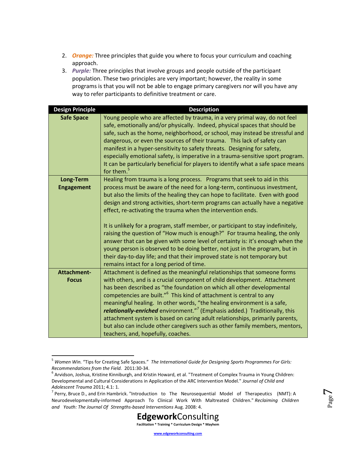- 2. *Orange:* Three principles that guide you where to focus your curriculum and coaching approach.
- 3. *Purple:* Three principles that involve groups and people outside of the participant population. These two principles are very important; however, the reality in some programs is that you will not be able to engage primary caregivers nor will you have any way to refer participants to definitive treatment or care.

| <b>Design Principle</b>        | <b>Description</b>                                                                                                                                                                                                                                                                                                                                                                                                                                                                                                                                                                                               |
|--------------------------------|------------------------------------------------------------------------------------------------------------------------------------------------------------------------------------------------------------------------------------------------------------------------------------------------------------------------------------------------------------------------------------------------------------------------------------------------------------------------------------------------------------------------------------------------------------------------------------------------------------------|
| <b>Safe Space</b>              | Young people who are affected by trauma, in a very primal way, do not feel<br>safe, emotionally and/or physically. Indeed, physical spaces that should be<br>safe, such as the home, neighborhood, or school, may instead be stressful and<br>dangerous, or even the sources of their trauma. This lack of safety can<br>manifest in a hyper-sensitivity to safety threats. Designing for safety,<br>especially emotional safety, is imperative in a trauma-sensitive sport program.<br>It can be particularly beneficial for players to identify what a safe space means<br>for them. <sup>5</sup>              |
| Long-Term<br><b>Engagement</b> | Healing from trauma is a long process. Programs that seek to aid in this<br>process must be aware of the need for a long-term, continuous investment,<br>but also the limits of the healing they can hope to facilitate. Even with good<br>design and strong activities, short-term programs can actually have a negative<br>effect, re-activating the trauma when the intervention ends.<br>It is unlikely for a program, staff member, or participant to stay indefinitely,<br>raising the question of "How much is enough?" For trauma healing, the only                                                      |
|                                | answer that can be given with some level of certainty is: it's enough when the<br>young person is observed to be doing better, not just in the program, but in<br>their day-to-day life; and that their improved state is not temporary but<br>remains intact for a long period of time.                                                                                                                                                                                                                                                                                                                         |
| Attachment-                    | Attachment is defined as the meaningful relationships that someone forms                                                                                                                                                                                                                                                                                                                                                                                                                                                                                                                                         |
| <b>Focus</b>                   | with others, and is a crucial component of child development. Attachment<br>has been described as "the foundation on which all other developmental<br>competencies are built." <sup>6</sup> This kind of attachment is central to any<br>meaningful healing. In other words, "the healing environment is a safe,<br>relationally-enriched environment." <sup>7</sup> (Emphasis added.) Traditionally, this<br>attachment system is based on caring adult relationships, primarily parents,<br>but also can include other caregivers such as other family members, mentors,<br>teachers, and, hopefully, coaches. |

 $\overline{a}$ <sup>5</sup> *Women Win.* "Tips for Creating Safe Spaces." *The International Guide for Designing Sports Programmes For Girls: Recommendations from the Field.* 2011:30-34.

 $^7$  Perry, Bruce D., and Erin Hambrick. "Introduction to The Neurosequential Model of Therapeutics (NMT): A Neurodevelopmentally‐informed Approach To Clinical Work With Maltreated Children." *Reclaiming Children and Youth: The Journal Of Strengths-based Interventions* Aug. 2008: 4.



<sup>6</sup> Arvidson, Joshua, Kristine Kinniburgh, and Kristin Howard, et al. "Treatment of Complex Trauma in Young Children: Developmental and Cultural Considerations in Application of the ARC Intervention Model." *Journal of Child and Adolescent Trauma* 2011; 4.1: 1.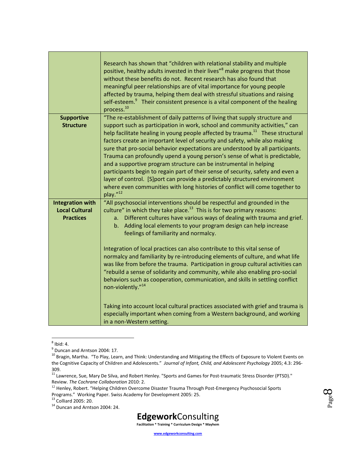|                                                                      | Research has shown that "children with relational stability and multiple<br>positive, healthy adults invested in their lives" <sup>8</sup> make progress that those<br>without these benefits do not. Recent research has also found that<br>meaningful peer relationships are of vital importance for young people<br>affected by trauma, helping them deal with stressful situations and raising<br>self-esteem. <sup>9</sup> Their consistent presence is a vital component of the healing<br>process. <sup>10</sup>                                                                                                                                                                                                                                                                                                                     |
|----------------------------------------------------------------------|---------------------------------------------------------------------------------------------------------------------------------------------------------------------------------------------------------------------------------------------------------------------------------------------------------------------------------------------------------------------------------------------------------------------------------------------------------------------------------------------------------------------------------------------------------------------------------------------------------------------------------------------------------------------------------------------------------------------------------------------------------------------------------------------------------------------------------------------|
| <b>Supportive</b><br><b>Structure</b>                                | "The re-establishment of daily patterns of living that supply structure and<br>support such as participation in work, school and community activities," can<br>help facilitate healing in young people affected by trauma. <sup>11</sup> These structural<br>factors create an important level of security and safety, while also making<br>sure that pro-social behavior expectations are understood by all participants.<br>Trauma can profoundly upend a young person's sense of what is predictable,<br>and a supportive program structure can be instrumental in helping<br>participants begin to regain part of their sense of security, safety and even a<br>layer of control. [S] port can provide a predictably structured environment<br>where even communities with long histories of conflict will come together to<br>play."12 |
| <b>Integration with</b><br><b>Local Cultural</b><br><b>Practices</b> | "All psychosocial interventions should be respectful and grounded in the<br>culture" in which they take place. $^{13}$ This is for two primary reasons:<br>Different cultures have various ways of dealing with trauma and grief.<br>a.<br>Adding local elements to your program design can help increase<br>b.<br>feelings of familiarity and normalcy.<br>Integration of local practices can also contribute to this vital sense of<br>normalcy and familiarity by re-introducing elements of culture, and what life<br>was like from before the trauma. Participation in group cultural activities can<br>"rebuild a sense of solidarity and community, while also enabling pro-social<br>behaviors such as cooperation, communication, and skills in settling conflict<br>non-violently." <sup>14</sup>                                 |
|                                                                      | Taking into account local cultural practices associated with grief and trauma is<br>especially important when coming from a Western background, and working<br>in a non-Western setting.                                                                                                                                                                                                                                                                                                                                                                                                                                                                                                                                                                                                                                                    |

<sup>&</sup>lt;sub>8</sub><br>Bid: 4.

<sup>14</sup> Duncan and Arntson 2004: 24.



 $<sup>9</sup>$  Duncan and Arntson 2004: 17.</sup>

<sup>10</sup> Bragin, Martha. "To Play, Learn, and Think: Understanding and Mitigating the Effects of Exposure to Violent Events on the Cognitive Capacity of Children and Adolescents." *Journal of Infant, Child, and Adolescent Psychology* 2005; 4.3: 296- 309.

<sup>11</sup> Lawrence, Sue, Mary De Silva, and Robert Henley. "Sports and Games for Post-traumatic Stress Disorder (PTSD)." Review. *The Cochrane Collaboration* 2010: 2.

<sup>&</sup>lt;sup>12</sup> Henley, Robert. "Helping Children Overcome Disaster Trauma Through Post-Emergency Psychosocial Sports Programs." Working Paper. Swiss Academy for Development 2005: 25.

<sup>13</sup> Colliard 2005: 20.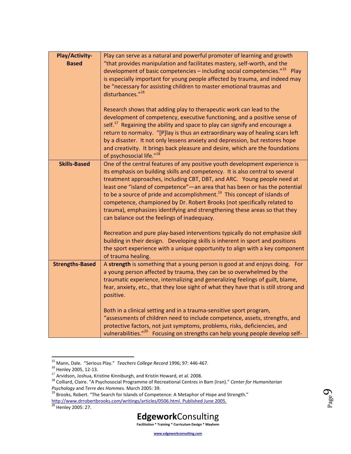| Play/Activity-<br><b>Based</b> | Play can serve as a natural and powerful promoter of learning and growth<br>"that provides manipulation and facilitates mastery, self-worth, and the<br>development of basic competencies - including social competencies." <sup>15</sup><br>Play<br>is especially important for young people affected by trauma, and indeed may<br>be "necessary for assisting children to master emotional traumas and<br>disturbances."16<br>Research shows that adding play to therapeutic work can lead to the<br>development of competency, executive functioning, and a positive sense of<br>self. <sup>17</sup> Regaining the ability and space to play can signify and encourage a |
|--------------------------------|-----------------------------------------------------------------------------------------------------------------------------------------------------------------------------------------------------------------------------------------------------------------------------------------------------------------------------------------------------------------------------------------------------------------------------------------------------------------------------------------------------------------------------------------------------------------------------------------------------------------------------------------------------------------------------|
|                                | return to normalcy. "[P] lay is thus an extraordinary way of healing scars left<br>by a disaster. It not only lessens anxiety and depression, but restores hope<br>and creativity. It brings back pleasure and desire, which are the foundations<br>of psychosocial life." <sup>18</sup>                                                                                                                                                                                                                                                                                                                                                                                    |
| <b>Skills-Based</b>            | One of the central features of any positive youth development experience is<br>its emphasis on building skills and competency. It is also central to several<br>treatment approaches, including CBT, DBT, and ARC. Young people need at<br>least one "island of competence" - an area that has been or has the potential<br>to be a source of pride and accomplishment. <sup>19</sup> This concept of islands of<br>competence, championed by Dr. Robert Brooks (not specifically related to<br>trauma), emphasizes identifying and strengthening these areas so that they<br>can balance out the feelings of inadequacy.                                                   |
|                                | Recreation and pure play-based interventions typically do not emphasize skill<br>building in their design. Developing skills is inherent in sport and positions<br>the sport experience with a unique opportunity to align with a key component<br>of trauma healing.                                                                                                                                                                                                                                                                                                                                                                                                       |
| <b>Strengths-Based</b>         | A strength is something that a young person is good at and enjoys doing. For<br>a young person affected by trauma, they can be so overwhelmed by the<br>traumatic experience, internalizing and generalizing feelings of guilt, blame,<br>fear, anxiety, etc., that they lose sight of what they have that is still strong and<br>positive.                                                                                                                                                                                                                                                                                                                                 |
|                                | Both in a clinical setting and in a trauma-sensitive sport program,<br>"assessments of children need to include competence, assets, strengths, and<br>protective factors, not just symptoms, problems, risks, deficiencies, and<br>vulnerabilities." <sup>20</sup> Focusing on strengths can help young people develop self-                                                                                                                                                                                                                                                                                                                                                |

<sup>15</sup> Mann, Dale. "Serious Play." *Teachers College Record* 1996; 97: 446-467.

 $\overline{\phantom{a}}$ 



Page  $\sigma$ 

<sup>&</sup>lt;sup>16</sup> Henley 2005, 12-13.

 $^{17}$  Arvidson, Joshua, Kristine Kinniburgh, and Kristin Howard, et al. 2008.

<sup>18</sup> Colliard, Claire. "A Psychosocial Programme of Recreational Centres in Bam (Iran)." *Center for Humanitarian Psychology* and *Terre des Hommes.* March 2005: 39.

<sup>&</sup>lt;sup>19</sup> Brooks, Robert. "The Search for Islands of Competence: A Metaphor of Hope and Strength." [http://www.drrobertbrooks.com/writings/articles/0506.html.](http://www.drrobertbrooks.com/writings/articles/0506.html) Published June 2005.

<sup>&</sup>lt;sup>20</sup> Henley 2005: 27.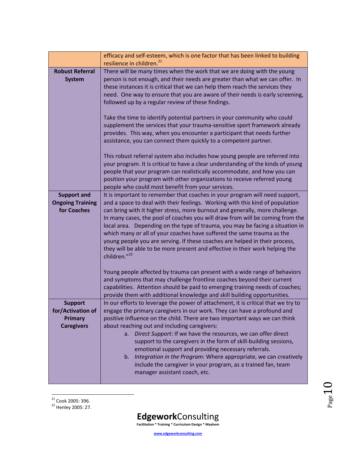|                                                                            | efficacy and self-esteem, which is one factor that has been linked to building<br>resilience in children. <sup>21</sup>                                                                                                                                                                                                                                                                                                                                                                                                                                                                                                                                                    |
|----------------------------------------------------------------------------|----------------------------------------------------------------------------------------------------------------------------------------------------------------------------------------------------------------------------------------------------------------------------------------------------------------------------------------------------------------------------------------------------------------------------------------------------------------------------------------------------------------------------------------------------------------------------------------------------------------------------------------------------------------------------|
| <b>Robust Referral</b><br><b>System</b>                                    | There will be many times when the work that we are doing with the young<br>person is not enough, and their needs are greater than what we can offer. In<br>these instances it is critical that we can help them reach the services they<br>need. One way to ensure that you are aware of their needs is early screening,<br>followed up by a regular review of these findings.<br>Take the time to identify potential partners in your community who could                                                                                                                                                                                                                 |
|                                                                            | supplement the services that your trauma-sensitive sport framework already<br>provides. This way, when you encounter a participant that needs further<br>assistance, you can connect them quickly to a competent partner.                                                                                                                                                                                                                                                                                                                                                                                                                                                  |
|                                                                            | This robust referral system also includes how young people are referred into<br>your program. It is critical to have a clear understanding of the kinds of young<br>people that your program can realistically accommodate, and how you can<br>position your program with other organizations to receive referred young<br>people who could most benefit from your services.                                                                                                                                                                                                                                                                                               |
| <b>Support and</b><br><b>Ongoing Training</b><br>for Coaches               | It is important to remember that coaches in your program will need support,<br>and a space to deal with their feelings. Working with this kind of population<br>can bring with it higher stress, more burnout and generally, more challenge.<br>In many cases, the pool of coaches you will draw from will be coming from the<br>local area. Depending on the type of trauma, you may be facing a situation in<br>which many or all of your coaches have suffered the same trauma as the<br>young people you are serving. If these coaches are helped in their process,<br>they will be able to be more present and effective in their work helping the<br>children."22    |
|                                                                            | Young people affected by trauma can present with a wide range of behaviors<br>and symptoms that may challenge frontline coaches beyond their current<br>capabilities. Attention should be paid to emerging training needs of coaches;<br>provide them with additional knowledge and skill building opportunities.                                                                                                                                                                                                                                                                                                                                                          |
| <b>Support</b><br>for/Activation of<br><b>Primary</b><br><b>Caregivers</b> | In our efforts to leverage the power of attachment, it is critical that we try to<br>engage the primary caregivers in our work. They can have a profound and<br>positive influence on the child. There are two important ways we can think<br>about reaching out and including caregivers:<br>Direct Support: If we have the resources, we can offer direct<br>a.<br>support to the caregivers in the form of skill-building sessions,<br>emotional support and providing necessary referrals.<br>Integration in the Program: Where appropriate, we can creatively<br>b.<br>include the caregiver in your program, as a trained fan, team<br>manager assistant coach, etc. |

 $Page10$ 

 $\overline{a}$ <sup>21</sup> Cook 2005: 396.

<sup>22</sup> Henley 2005: 27.

**Edgework**Consulting **Facilitation \* Training \* Curriculum Design \* Mayhem**

**www.edgeworkconsulting.com**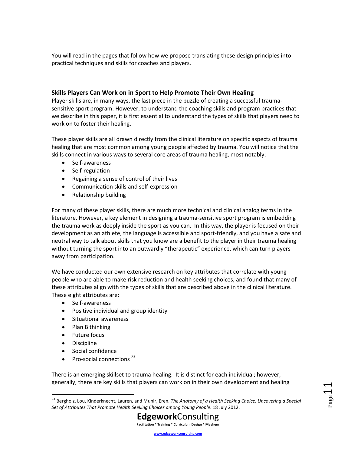You will read in the pages that follow how we propose translating these design principles into practical techniques and skills for coaches and players.

## <span id="page-10-0"></span>**Skills Players Can Work on in Sport to Help Promote Their Own Healing**

Player skills are, in many ways, the last piece in the puzzle of creating a successful traumasensitive sport program. However, to understand the coaching skills and program practices that we describe in this paper, it is first essential to understand the types of skills that players need to work on to foster their healing.

These player skills are all drawn directly from the clinical literature on specific aspects of trauma healing that are most common among young people affected by trauma. You will notice that the skills connect in various ways to several core areas of trauma healing, most notably:

- Self-awareness
- Self-regulation
- Regaining a sense of control of their lives
- Communication skills and self-expression
- Relationship building

For many of these player skills, there are much more technical and clinical analog terms in the literature. However, a key element in designing a trauma-sensitive sport program is embedding the trauma work as deeply inside the sport as you can. In this way, the player is focused on their development as an athlete, the language is accessible and sport-friendly, and you have a safe and neutral way to talk about skills that you know are a benefit to the player in their trauma healing without turning the sport into an outwardly "therapeutic" experience, which can turn players away from participation.

We have conducted our own extensive research on key attributes that correlate with young people who are able to make risk reduction and health seeking choices, and found that many of these attributes align with the types of skills that are described above in the clinical literature. These eight attributes are:

- Self-awareness
- Positive individual and group identity
- Situational awareness
- $\bullet$  Plan B thinking
- Future focus
- Discipline

 $\overline{a}$ 

- Social confidence
- Pro-social connections<sup>23</sup>

There is an emerging skillset to trauma healing. It is distinct for each individual; however, generally, there are key skills that players can work on in their own development and healing

<sup>23</sup> Bergholz, Lou, Kinderknecht, Lauren, and Munir, Eren. *The Anatomy of a Health Seeking Choice: Uncovering a Special Set of Attributes That Promote Health Seeking Choices among Young People*. 18 July 2012.



**www.edgeworkconsulting.com**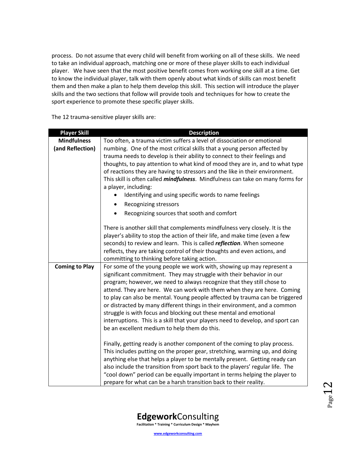process. Do not assume that every child will benefit from working on all of these skills. We need to take an individual approach, matching one or more of these player skills to each individual player. We have seen that the most positive benefit comes from working one skill at a time. Get to know the individual player, talk with them openly about what kinds of skills can most benefit them and then make a plan to help them develop this skill. This section will introduce the player skills and the two sections that follow will provide tools and techniques for how to create the sport experience to promote these specific player skills.

The 12 trauma-sensitive player skills are:

| <b>Player Skill</b>   | <b>Description</b>                                                                     |
|-----------------------|----------------------------------------------------------------------------------------|
| <b>Mindfulness</b>    | Too often, a trauma victim suffers a level of dissociation or emotional                |
| (and Reflection)      | numbing. One of the most critical skills that a young person affected by               |
|                       | trauma needs to develop is their ability to connect to their feelings and              |
|                       | thoughts, to pay attention to what kind of mood they are in, and to what type          |
|                       | of reactions they are having to stressors and the like in their environment.           |
|                       | This skill is often called <i>mindfulness</i> . Mindfulness can take on many forms for |
|                       | a player, including:                                                                   |
|                       | Identifying and using specific words to name feelings                                  |
|                       | Recognizing stressors<br>$\bullet$                                                     |
|                       | Recognizing sources that sooth and comfort                                             |
|                       | There is another skill that complements mindfulness very closely. It is the            |
|                       | player's ability to stop the action of their life, and make time (even a few           |
|                       | seconds) to review and learn. This is called reflection. When someone                  |
|                       | reflects, they are taking control of their thoughts and even actions, and              |
|                       | committing to thinking before taking action.                                           |
| <b>Coming to Play</b> | For some of the young people we work with, showing up may represent a                  |
|                       | significant commitment. They may struggle with their behavior in our                   |
|                       | program; however, we need to always recognize that they still chose to                 |
|                       | attend. They are here. We can work with them when they are here. Coming                |
|                       | to play can also be mental. Young people affected by trauma can be triggered           |
|                       | or distracted by many different things in their environment, and a common              |
|                       | struggle is with focus and blocking out these mental and emotional                     |
|                       | interruptions. This is a skill that your players need to develop, and sport can        |
|                       | be an excellent medium to help them do this.                                           |
|                       | Finally, getting ready is another component of the coming to play process.             |
|                       | This includes putting on the proper gear, stretching, warming up, and doing            |
|                       | anything else that helps a player to be mentally present. Getting ready can            |
|                       | also include the transition from sport back to the players' regular life. The          |
|                       | "cool down" period can be equally important in terms helping the player to             |
|                       | prepare for what can be a harsh transition back to their reality.                      |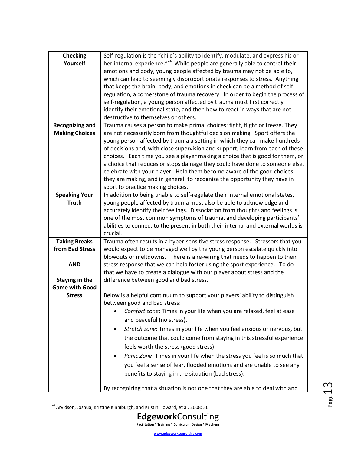| <b>Checking</b>        | Self-regulation is the "child's ability to identify, modulate, and express his or        |
|------------------------|------------------------------------------------------------------------------------------|
| Yourself               | her internal experience." <sup>24</sup> While people are generally able to control their |
|                        | emotions and body, young people affected by trauma may not be able to,                   |
|                        | which can lead to seemingly disproportionate responses to stress. Anything               |
|                        | that keeps the brain, body, and emotions in check can be a method of self-               |
|                        | regulation, a cornerstone of trauma recovery. In order to begin the process of           |
|                        | self-regulation, a young person affected by trauma must first correctly                  |
|                        | identify their emotional state, and then how to react in ways that are not               |
|                        | destructive to themselves or others.                                                     |
| <b>Recognizing and</b> | Trauma causes a person to make primal choices: fight, flight or freeze. They             |
| <b>Making Choices</b>  | are not necessarily born from thoughtful decision making. Sport offers the               |
|                        | young person affected by trauma a setting in which they can make hundreds                |
|                        | of decisions and, with close supervision and support, learn from each of these           |
|                        | choices. Each time you see a player making a choice that is good for them, or            |
|                        | a choice that reduces or stops damage they could have done to someone else,              |
|                        | celebrate with your player. Help them become aware of the good choices                   |
|                        | they are making, and in general, to recognize the opportunity they have in               |
|                        | sport to practice making choices.                                                        |
| <b>Speaking Your</b>   | In addition to being unable to self-regulate their internal emotional states,            |
| <b>Truth</b>           | young people affected by trauma must also be able to acknowledge and                     |
|                        | accurately identify their feelings. Dissociation from thoughts and feelings is           |
|                        | one of the most common symptoms of trauma, and developing participants'                  |
|                        | abilities to connect to the present in both their internal and external worlds is        |
|                        | crucial.                                                                                 |
| <b>Taking Breaks</b>   | Trauma often results in a hyper-sensitive stress response. Stressors that you            |
| from Bad Stress        | would expect to be managed well by the young person escalate quickly into                |
|                        | blowouts or meltdowns. There is a re-wiring that needs to happen to their                |
| <b>AND</b>             | stress response that we can help foster using the sport experience. To do                |
|                        | that we have to create a dialogue with our player about stress and the                   |
| Staying in the         | difference between good and bad stress.                                                  |
| <b>Game with Good</b>  |                                                                                          |
| <b>Stress</b>          | Below is a helpful continuum to support your players' ability to distinguish             |
|                        | between good and bad stress:                                                             |
|                        | Comfort zone: Times in your life when you are relaxed, feel at ease                      |
|                        | and peaceful (no stress).                                                                |
|                        | Stretch zone: Times in your life when you feel anxious or nervous, but                   |
|                        | the outcome that could come from staying in this stressful experience                    |
|                        |                                                                                          |
|                        | feels worth the stress (good stress).                                                    |
|                        | Panic Zone: Times in your life when the stress you feel is so much that                  |
|                        | you feel a sense of fear, flooded emotions and are unable to see any                     |
|                        | benefits to staying in the situation (bad stress).                                       |
|                        |                                                                                          |
|                        | By recognizing that a situation is not one that they are able to deal with and           |

 $^{24}$  Arvidson, Joshua, Kristine Kinniburgh, and Kristin Howard, et al. 2008: 36.

 $\overline{\phantom{a}}$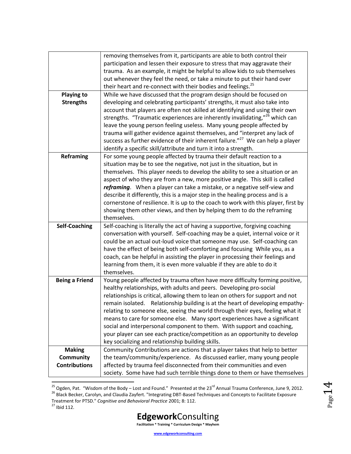|                       | removing themselves from it, participants are able to both control their                   |
|-----------------------|--------------------------------------------------------------------------------------------|
|                       | participation and lessen their exposure to stress that may aggravate their                 |
|                       | trauma. As an example, it might be helpful to allow kids to sub themselves                 |
|                       | out whenever they feel the need, or take a minute to put their hand over                   |
|                       | their heart and re-connect with their bodies and feelings. <sup>25</sup>                   |
| <b>Playing to</b>     | While we have discussed that the program design should be focused on                       |
| <b>Strengths</b>      | developing and celebrating participants' strengths, it must also take into                 |
|                       | account that players are often not skilled at identifying and using their own              |
|                       | strengths. "Traumatic experiences are inherently invalidating," <sup>26</sup> which can    |
|                       | leave the young person feeling useless. Many young people affected by                      |
|                       | trauma will gather evidence against themselves, and "interpret any lack of                 |
|                       | success as further evidence of their inherent failure." <sup>27</sup> We can help a player |
|                       | identify a specific skill/attribute and turn it into a strength.                           |
| <b>Reframing</b>      | For some young people affected by trauma their default reaction to a                       |
|                       | situation may be to see the negative, not just in the situation, but in                    |
|                       | themselves. This player needs to develop the ability to see a situation or an              |
|                       | aspect of who they are from a new, more positive angle. This skill is called               |
|                       | reframing. When a player can take a mistake, or a negative self-view and                   |
|                       | describe it differently, this is a major step in the healing process and is a              |
|                       | cornerstone of resilience. It is up to the coach to work with this player, first by        |
|                       | showing them other views, and then by helping them to do the reframing                     |
|                       | themselves.                                                                                |
| <b>Self-Coaching</b>  | Self-coaching is literally the act of having a supportive, forgiving coaching              |
|                       | conversation with yourself. Self-coaching may be a quiet, internal voice or it             |
|                       | could be an actual out-loud voice that someone may use. Self-coaching can                  |
|                       | have the effect of being both self-comforting and focusing While you, as a                 |
|                       | coach, can be helpful in assisting the player in processing their feelings and             |
|                       | learning from them, it is even more valuable if they are able to do it                     |
|                       | themselves.                                                                                |
| <b>Being a Friend</b> | Young people affected by trauma often have more difficulty forming positive,               |
|                       | healthy relationships, with adults and peers. Developing pro-social                        |
|                       | relationships is critical, allowing them to lean on others for support and not             |
|                       | remain isolated. Relationship building is at the heart of developing empathy-              |
|                       | relating to someone else, seeing the world through their eyes, feeling what it             |
|                       | means to care for someone else. Many sport experiences have a significant                  |
|                       | social and interpersonal component to them. With support and coaching,                     |
|                       | your player can see each practice/competition as an opportunity to develop                 |
|                       | key socializing and relationship building skills.                                          |
| <b>Making</b>         | Community Contributions are actions that a player takes that help to better                |
| <b>Community</b>      | the team/community/experience. As discussed earlier, many young people                     |
| <b>Contributions</b>  | affected by trauma feel disconnected from their communities and even                       |
|                       | society. Some have had such terrible things done to them or have themselves                |
|                       |                                                                                            |

<sup>&</sup>lt;sup>25</sup> Ogden, Pat. "Wisdom of the Body – Lost and Found." Presented at the 23<sup>rd</sup> Annual Trauma Conference, June 9, 2012.

 $Page14$ 



<sup>&</sup>lt;sup>26</sup> Black Becker, Carolyn, and Claudia Zayfert. "Integrating DBT-Based Techniques and Concepts to Facilitate Exposure Treatment for PTSD." *Cognitive and Behavioral Practice* 2001; 8: 112.

<sup>27</sup> Ibid 112.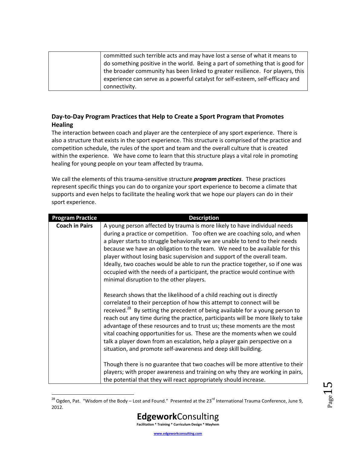| committed such terrible acts and may have lost a sense of what it means to     |
|--------------------------------------------------------------------------------|
| do something positive in the world. Being a part of something that is good for |
| the broader community has been linked to greater resilience. For players, this |
| experience can serve as a powerful catalyst for self-esteem, self-efficacy and |
| connectivity.                                                                  |

## <span id="page-14-0"></span>**Day-to-Day Program Practices that Help to Create a Sport Program that Promotes Healing**

The interaction between coach and player are the centerpiece of any sport experience. There is also a structure that exists in the sport experience. This structure is comprised of the practice and competition schedule, the rules of the sport and team and the overall culture that is created within the experience. We have come to learn that this structure plays a vital role in promoting healing for young people on your team affected by trauma.

We call the elements of this trauma-sensitive structure *program practices*. These practices represent specific things you can do to organize your sport experience to become a climate that supports and even helps to facilitate the healing work that we hope our players can do in their sport experience.

| <b>Program Practice</b> | <b>Description</b>                                                                                                                                                                                                                                                                                                                                                                                                                                                                                                                                                                                                                       |
|-------------------------|------------------------------------------------------------------------------------------------------------------------------------------------------------------------------------------------------------------------------------------------------------------------------------------------------------------------------------------------------------------------------------------------------------------------------------------------------------------------------------------------------------------------------------------------------------------------------------------------------------------------------------------|
| <b>Coach in Pairs</b>   | A young person affected by trauma is more likely to have individual needs<br>during a practice or competition. Too often we are coaching solo, and when<br>a player starts to struggle behaviorally we are unable to tend to their needs<br>because we have an obligation to the team. We need to be available for this<br>player without losing basic supervision and support of the overall team.<br>Ideally, two coaches would be able to run the practice together, so if one was<br>occupied with the needs of a participant, the practice would continue with<br>minimal disruption to the other players.                          |
|                         | Research shows that the likelihood of a child reaching out is directly<br>correlated to their perception of how this attempt to connect will be<br>received. <sup>28</sup> By setting the precedent of being available for a young person to<br>reach out any time during the practice, participants will be more likely to take<br>advantage of these resources and to trust us; these moments are the most<br>vital coaching opportunities for us. These are the moments when we could<br>talk a player down from an escalation, help a player gain perspective on a<br>situation, and promote self-awareness and deep skill building. |
|                         | Though there is no guarantee that two coaches will be more attentive to their<br>players; with proper awareness and training on why they are working in pairs,<br>the potential that they will react appropriately should increase.                                                                                                                                                                                                                                                                                                                                                                                                      |

 $\overline{a}$  $^{28}$  Ogden, Pat. "Wisdom of the Body – Lost and Found." Presented at the 23<sup>rd</sup> International Trauma Conference, June 9, 2012.

 $_{\rm Page}15$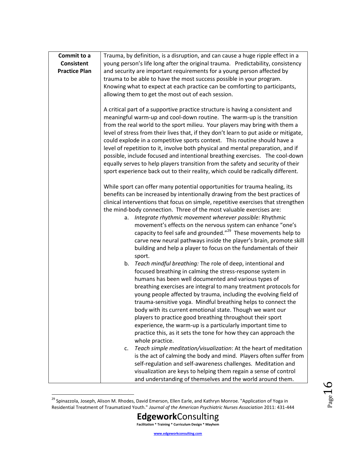| Commit to a          | Trauma, by definition, is a disruption, and can cause a huge ripple effect in a                                                                                                                                                                                                                                                                                                                                                                                                                                                                                                 |
|----------------------|---------------------------------------------------------------------------------------------------------------------------------------------------------------------------------------------------------------------------------------------------------------------------------------------------------------------------------------------------------------------------------------------------------------------------------------------------------------------------------------------------------------------------------------------------------------------------------|
| <b>Consistent</b>    | young person's life long after the original trauma. Predictability, consistency                                                                                                                                                                                                                                                                                                                                                                                                                                                                                                 |
| <b>Practice Plan</b> | and security are important requirements for a young person affected by                                                                                                                                                                                                                                                                                                                                                                                                                                                                                                          |
|                      | trauma to be able to have the most success possible in your program.                                                                                                                                                                                                                                                                                                                                                                                                                                                                                                            |
|                      | Knowing what to expect at each practice can be comforting to participants,                                                                                                                                                                                                                                                                                                                                                                                                                                                                                                      |
|                      |                                                                                                                                                                                                                                                                                                                                                                                                                                                                                                                                                                                 |
|                      | allowing them to get the most out of each session.                                                                                                                                                                                                                                                                                                                                                                                                                                                                                                                              |
|                      | A critical part of a supportive practice structure is having a consistent and<br>meaningful warm-up and cool-down routine. The warm-up is the transition<br>from the real world to the sport milieu. Your players may bring with them a<br>level of stress from their lives that, if they don't learn to put aside or mitigate,<br>could explode in a competitive sports context. This routine should have a<br>level of repetition to it, involve both physical and mental preparation, and if<br>possible, include focused and intentional breathing exercises. The cool-down |
|                      | equally serves to help players transition from the safety and security of their<br>sport experience back out to their reality, which could be radically different.                                                                                                                                                                                                                                                                                                                                                                                                              |
|                      | While sport can offer many potential opportunities for trauma healing, its                                                                                                                                                                                                                                                                                                                                                                                                                                                                                                      |
|                      | benefits can be increased by intentionally drawing from the best practices of                                                                                                                                                                                                                                                                                                                                                                                                                                                                                                   |
|                      | clinical interventions that focus on simple, repetitive exercises that strengthen                                                                                                                                                                                                                                                                                                                                                                                                                                                                                               |
|                      | the mind-body connection. Three of the most valuable exercises are:                                                                                                                                                                                                                                                                                                                                                                                                                                                                                                             |
|                      | Integrate rhythmic movement wherever possible: Rhythmic<br>a.                                                                                                                                                                                                                                                                                                                                                                                                                                                                                                                   |
|                      | movement's effects on the nervous system can enhance "one's                                                                                                                                                                                                                                                                                                                                                                                                                                                                                                                     |
|                      | capacity to feel safe and grounded." <sup>29</sup> These movements help to                                                                                                                                                                                                                                                                                                                                                                                                                                                                                                      |
|                      | carve new neural pathways inside the player's brain, promote skill                                                                                                                                                                                                                                                                                                                                                                                                                                                                                                              |
|                      |                                                                                                                                                                                                                                                                                                                                                                                                                                                                                                                                                                                 |
|                      | building and help a player to focus on the fundamentals of their                                                                                                                                                                                                                                                                                                                                                                                                                                                                                                                |
|                      | sport.                                                                                                                                                                                                                                                                                                                                                                                                                                                                                                                                                                          |
|                      | Teach mindful breathing: The role of deep, intentional and<br>b.                                                                                                                                                                                                                                                                                                                                                                                                                                                                                                                |
|                      | focused breathing in calming the stress-response system in                                                                                                                                                                                                                                                                                                                                                                                                                                                                                                                      |
|                      | humans has been well documented and various types of                                                                                                                                                                                                                                                                                                                                                                                                                                                                                                                            |
|                      | breathing exercises are integral to many treatment protocols for                                                                                                                                                                                                                                                                                                                                                                                                                                                                                                                |
|                      | young people affected by trauma, including the evolving field of                                                                                                                                                                                                                                                                                                                                                                                                                                                                                                                |
|                      | trauma-sensitive yoga. Mindful breathing helps to connect the                                                                                                                                                                                                                                                                                                                                                                                                                                                                                                                   |
|                      | body with its current emotional state. Though we want our                                                                                                                                                                                                                                                                                                                                                                                                                                                                                                                       |
|                      | players to practice good breathing throughout their sport                                                                                                                                                                                                                                                                                                                                                                                                                                                                                                                       |
|                      | experience, the warm-up is a particularly important time to                                                                                                                                                                                                                                                                                                                                                                                                                                                                                                                     |
|                      | practice this, as it sets the tone for how they can approach the                                                                                                                                                                                                                                                                                                                                                                                                                                                                                                                |
|                      | whole practice.                                                                                                                                                                                                                                                                                                                                                                                                                                                                                                                                                                 |
|                      | Teach simple meditation/visualization: At the heart of meditation<br>c.                                                                                                                                                                                                                                                                                                                                                                                                                                                                                                         |
|                      | is the act of calming the body and mind. Players often suffer from                                                                                                                                                                                                                                                                                                                                                                                                                                                                                                              |
|                      | self-regulation and self-awareness challenges. Meditation and                                                                                                                                                                                                                                                                                                                                                                                                                                                                                                                   |
|                      | visualization are keys to helping them regain a sense of control                                                                                                                                                                                                                                                                                                                                                                                                                                                                                                                |
|                      | and understanding of themselves and the world around them.                                                                                                                                                                                                                                                                                                                                                                                                                                                                                                                      |

<sup>&</sup>lt;sup>29</sup> Spinazzola, Joseph, Alison M. Rhodes, David Emerson, Ellen Earle, and Kathryn Monroe. "Application of Yoga in Residential Treatment of Traumatized Youth." *Journal of the American Psychiatric Nurses Association* 2011: 431-444

 $\overline{a}$ 

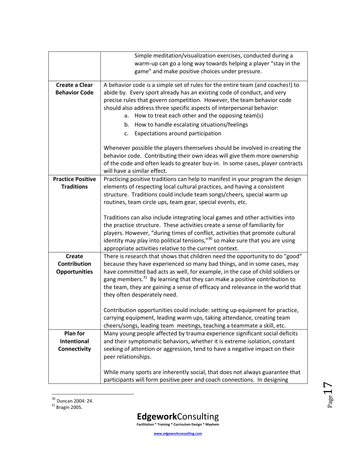|                          | Simple meditation/visualization exercises, conducted during a                             |
|--------------------------|-------------------------------------------------------------------------------------------|
|                          | warm-up can go a long way towards helping a player "stay in the                           |
|                          | game" and make positive choices under pressure.                                           |
|                          |                                                                                           |
| <b>Create a Clear</b>    | A behavior code is a simple set of rules for the entire team (and coaches!) to            |
| <b>Behavior Code</b>     | abide by. Every sport already has an existing code of conduct, and very                   |
|                          | precise rules that govern competition. However, the team behavior code                    |
|                          | should also address three specific aspects of interpersonal behavior:                     |
|                          | How to treat each other and the opposing team(s)<br>а.                                    |
|                          | How to handle escalating situations/feelings<br>b.                                        |
|                          | Expectations around participation<br>c.                                                   |
|                          | Whenever possible the players themselves should be involved in creating the               |
|                          | behavior code. Contributing their own ideas will give them more ownership                 |
|                          |                                                                                           |
|                          | of the code and often leads to greater buy-in. In some cases, player contracts            |
|                          | will have a similar effect.                                                               |
| <b>Practice Positive</b> | Practicing positive traditions can help to manifest in your program the design            |
| <b>Traditions</b>        | elements of respecting local cultural practices, and having a consistent                  |
|                          | structure. Traditions could include team songs/cheers, special warm up                    |
|                          | routines, team circle ups, team gear, special events, etc.                                |
|                          |                                                                                           |
|                          | Traditions can also include integrating local games and other activities into             |
|                          | the practice structure. These activities create a sense of familiarity for                |
|                          | players. However, "during times of conflict, activities that promote cultural             |
|                          | identity may play into political tensions," <sup>30</sup> so make sure that you are using |
|                          | appropriate activities relative to the current context.                                   |
| <b>Create</b>            | There is research that shows that children need the opportunity to do "good"              |
| <b>Contribution</b>      | because they have experienced so many bad things, and in some cases, may                  |
|                          |                                                                                           |
| <b>Opportunities</b>     | have committed bad acts as well, for example, in the case of child soldiers or            |
|                          | gang members. <sup>31</sup> By learning that they can make a positive contribution to     |
|                          | the team, they are gaining a sense of efficacy and relevance in the world that            |
|                          | they often desperately need.                                                              |
|                          | Contribution opportunities could include: setting up equipment for practice,              |
|                          | carrying equipment, leading warm ups, taking attendance, creating team                    |
|                          | cheers/songs, leading team meetings, teaching a teammate a skill, etc.                    |
| Plan for                 | Many young people affected by trauma experience significant social deficits               |
| <b>Intentional</b>       | and their symptomatic behaviors, whether it is extreme isolation, constant                |
| Connectivity             | seeking of attention or aggression, tend to have a negative impact on their               |
|                          |                                                                                           |
|                          | peer relationships.                                                                       |
|                          |                                                                                           |
|                          | While many sports are inherently social, that does not always guarantee that              |
|                          | participants will form positive peer and coach connections. In designing                  |

 $30$  Duncan 2004: 24.

l



 $31$  Bragin 2005.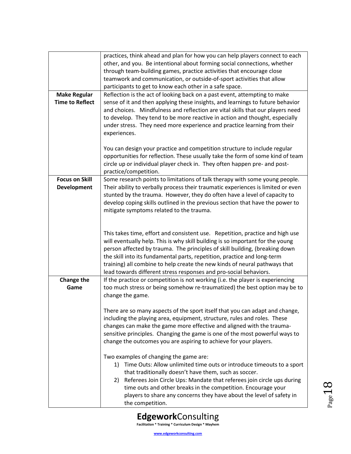| <b>Make Regular</b><br><b>Time to Reflect</b> | practices, think ahead and plan for how you can help players connect to each<br>other, and you. Be intentional about forming social connections, whether<br>through team-building games, practice activities that encourage close<br>teamwork and communication, or outside-of-sport activities that allow<br>participants to get to know each other in a safe space.<br>Reflection is the act of looking back on a past event, attempting to make<br>sense of it and then applying these insights, and learnings to future behavior<br>and choices. Mindfulness and reflection are vital skills that our players need<br>to develop. They tend to be more reactive in action and thought, especially<br>under stress. They need more experience and practice learning from their<br>experiences. |
|-----------------------------------------------|---------------------------------------------------------------------------------------------------------------------------------------------------------------------------------------------------------------------------------------------------------------------------------------------------------------------------------------------------------------------------------------------------------------------------------------------------------------------------------------------------------------------------------------------------------------------------------------------------------------------------------------------------------------------------------------------------------------------------------------------------------------------------------------------------|
|                                               | You can design your practice and competition structure to include regular<br>opportunities for reflection. These usually take the form of some kind of team<br>circle up or individual player check in. They often happen pre- and post-<br>practice/competition.                                                                                                                                                                                                                                                                                                                                                                                                                                                                                                                                 |
| <b>Focus on Skill</b><br><b>Development</b>   | Some research points to limitations of talk therapy with some young people.<br>Their ability to verbally process their traumatic experiences is limited or even<br>stunted by the trauma. However, they do often have a level of capacity to<br>develop coping skills outlined in the previous section that have the power to<br>mitigate symptoms related to the trauma.                                                                                                                                                                                                                                                                                                                                                                                                                         |
|                                               | This takes time, effort and consistent use. Repetition, practice and high use<br>will eventually help. This is why skill building is so important for the young<br>person affected by trauma. The principles of skill building, (breaking down<br>the skill into its fundamental parts, repetition, practice and long-term<br>training) all combine to help create the new kinds of neural pathways that<br>lead towards different stress responses and pro-social behaviors.                                                                                                                                                                                                                                                                                                                     |
| Change the<br>Game                            | If the practice or competition is not working (i.e. the player is experiencing<br>too much stress or being somehow re-traumatized) the best option may be to<br>change the game.                                                                                                                                                                                                                                                                                                                                                                                                                                                                                                                                                                                                                  |
|                                               | There are so many aspects of the sport itself that you can adapt and change,<br>including the playing area, equipment, structure, rules and roles. These<br>changes can make the game more effective and aligned with the trauma-<br>sensitive principles. Changing the game is one of the most powerful ways to<br>change the outcomes you are aspiring to achieve for your players.                                                                                                                                                                                                                                                                                                                                                                                                             |
|                                               | Two examples of changing the game are:<br>Time Outs: Allow unlimited time outs or introduce timeouts to a sport<br>1)<br>that traditionally doesn't have them, such as soccer.<br>Referees Join Circle Ups: Mandate that referees join circle ups during<br>2)<br>time outs and other breaks in the competition. Encourage your<br>players to share any concerns they have about the level of safety in<br>the competition.                                                                                                                                                                                                                                                                                                                                                                       |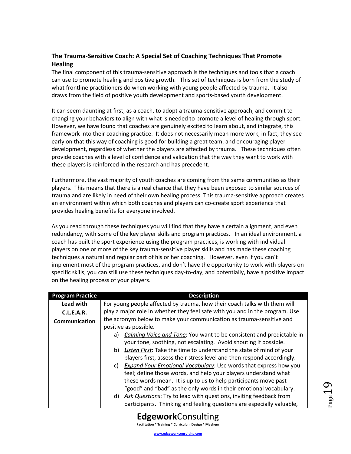## <span id="page-18-0"></span>**The Trauma-Sensitive Coach: A Special Set of Coaching Techniques That Promote Healing**

The final component of this trauma-sensitive approach is the techniques and tools that a coach can use to promote healing and positive growth. This set of techniques is born from the study of what frontline practitioners do when working with young people affected by trauma. It also draws from the field of positive youth development and sports-based youth development.

It can seem daunting at first, as a coach, to adopt a trauma-sensitive approach, and commit to changing your behaviors to align with what is needed to promote a level of healing through sport. However, we have found that coaches are genuinely excited to learn about, and integrate, this framework into their coaching practice. It does not necessarily mean more work; in fact, they see early on that this way of coaching is good for building a great team, and encouraging player development, regardless of whether the players are affected by trauma. These techniques often provide coaches with a level of confidence and validation that the way they want to work with these players is reinforced in the research and has precedent.

Furthermore, the vast majority of youth coaches are coming from the same communities as their players. This means that there is a real chance that they have been exposed to similar sources of trauma and are likely in need of their own healing process. This trauma-sensitive approach creates an environment within which both coaches and players can co-create sport experience that provides healing benefits for everyone involved.

As you read through these techniques you will find that they have a certain alignment, and even redundancy, with some of the key player skills and program practices. In an ideal environment, a coach has built the sport experience using the program practices, is working with individual players on one or more of the key trauma-sensitive player skills and has made these coaching techniques a natural and regular part of his or her coaching. However, even if you can't implement most of the program practices, and don't have the opportunity to work with players on specific skills, you can still use these techniques day-to-day, and potentially, have a positive impact on the healing process of your players.

| <b>Program Practice</b> | <b>Description</b>                                                           |
|-------------------------|------------------------------------------------------------------------------|
| Lead with               | For young people affected by trauma, how their coach talks with them will    |
| C.L.E.A.R.              | play a major role in whether they feel safe with you and in the program. Use |
| Communication           | the acronym below to make your communication as trauma-sensitive and         |
|                         | positive as possible.                                                        |
|                         | a) Calming Voice and Tone: You want to be consistent and predictable in      |
|                         | your tone, soothing, not escalating. Avoid shouting if possible.             |
|                         | Listen First: Take the time to understand the state of mind of your<br>b)    |
|                         | players first, assess their stress level and then respond accordingly.       |
|                         | c) Expand Your Emotional Vocabulary: Use words that express how you          |
|                         | feel; define those words, and help your players understand what              |
|                         | these words mean. It is up to us to help participants move past              |
|                         | "good" and "bad" as the only words in their emotional vocabulary.            |
|                         | d) Ask Questions: Try to lead with questions, inviting feedback from         |
|                         | participants. Thinking and feeling questions are especially valuable,        |



 $P_{\text{age}}15$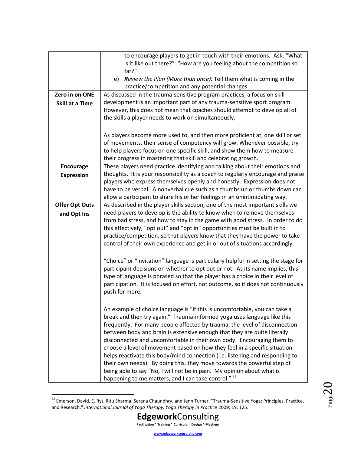|                        | to encourage players to get in touch with their emotions. Ask: "What               |
|------------------------|------------------------------------------------------------------------------------|
|                        | is it like out there?" "How are you feeling about the competition so               |
|                        | far?"                                                                              |
|                        | <b>Review the Plan (More than once):</b> Tell them what is coming in the<br>e)     |
|                        | practice/competition and any potential changes.                                    |
| Zero in on ONE         | As discussed in the trauma-sensitive program practices, a focus on skill           |
|                        | development is an important part of any trauma-sensitive sport program.            |
| <b>Skill at a Time</b> | However, this does not mean that coaches should attempt to develop all of          |
|                        |                                                                                    |
|                        | the skills a player needs to work on simultaneously.                               |
|                        |                                                                                    |
|                        | As players become more used to, and then more proficient at, one skill or set      |
|                        | of movements, their sense of competency will grow. Whenever possible, try          |
|                        | to help players focus on one specific skill, and show them how to measure          |
|                        | their progress in mastering that skill and celebrating growth.                     |
| <b>Encourage</b>       | These players need practice identifying and talking about their emotions and       |
| <b>Expression</b>      | thoughts. It is your responsibility as a coach to regularly encourage and praise   |
|                        | players who express themselves openly and honestly. Expression does not            |
|                        | have to be verbal. A nonverbal cue such as a thumbs up or thumbs down can          |
|                        | allow a participant to share his or her feelings in an unintimidating way.         |
| <b>Offer Opt Outs</b>  | As described in the player skills section, one of the most important skills we     |
| and Opt Ins            | need players to develop is the ability to know when to remove themselves           |
|                        | from bad stress, and how to stay in the game with good stress. In order to do      |
|                        | this effectively, "opt out" and "opt in" opportunities must be built in to         |
|                        | practice/competition, so that players know that they have the power to take        |
|                        | control of their own experience and get in or out of situations accordingly.       |
|                        |                                                                                    |
|                        |                                                                                    |
|                        | "Choice" or "invitation" language is particularly helpful in setting the stage for |
|                        | participant decisions on whether to opt out or not. As its name implies, this      |
|                        | type of language is phrased so that the player has a choice in their level of      |
|                        | participation. It is focused on effort, not outcome, so it does not continuously   |
|                        | push for more.                                                                     |
|                        |                                                                                    |
|                        | An example of choice language is "If this is uncomfortable, you can take a         |
|                        | break and then try again." Trauma-informed yoga uses language like this            |
|                        | frequently. For many people affected by trauma, the level of disconnection         |
|                        | between body and brain is extensive enough that they are quite literally           |
|                        | disconnected and uncomfortable in their own body. Encouraging them to              |
|                        | choose a level of movement based on how they feel in a specific situation          |
|                        |                                                                                    |
|                        | helps reactivate this body/mind connection (i.e. listening and responding to       |
|                        | their own needs). By doing this, they move towards the powerful step of            |
|                        | being able to say "No, I will not be in pain. My opinion about what is             |
|                        | happening to me matters, and I can take control." 32                               |

 $\overline{a}$ 

<sup>&</sup>lt;sup>32</sup> Emerson, David, E. Ryt, Ritu Sharma, Serena Chaundhry, and Jenn Turner. "Trauma-Sensitive Yoga: Principles, Practice, and Research." *International Journal of Yoga Therapy: Yoga Therapy in Practice* 2009; 19: 125.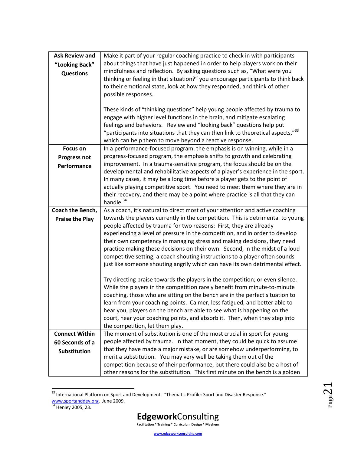| <b>Ask Review and</b><br>"Looking Back"<br><b>Questions</b> | Make it part of your regular coaching practice to check in with participants<br>about things that have just happened in order to help players work on their<br>mindfulness and reflection. By asking questions such as, "What were you<br>thinking or feeling in that situation?" you encourage participants to think back<br>to their emotional state, look at how they responded, and think of other<br>possible responses.<br>These kinds of "thinking questions" help young people affected by trauma to<br>engage with higher level functions in the brain, and mitigate escalating<br>feelings and behaviors. Review and "looking back" questions help put<br>"participants into situations that they can then link to theoretical aspects," $^{33}$<br>which can help them to move beyond a reactive response. |
|-------------------------------------------------------------|-----------------------------------------------------------------------------------------------------------------------------------------------------------------------------------------------------------------------------------------------------------------------------------------------------------------------------------------------------------------------------------------------------------------------------------------------------------------------------------------------------------------------------------------------------------------------------------------------------------------------------------------------------------------------------------------------------------------------------------------------------------------------------------------------------------------------|
| <b>Focus on</b>                                             | In a performance-focused program, the emphasis is on winning, while in a                                                                                                                                                                                                                                                                                                                                                                                                                                                                                                                                                                                                                                                                                                                                              |
| <b>Progress not</b>                                         | progress-focused program, the emphasis shifts to growth and celebrating                                                                                                                                                                                                                                                                                                                                                                                                                                                                                                                                                                                                                                                                                                                                               |
| Performance                                                 | improvement. In a trauma-sensitive program, the focus should be on the<br>developmental and rehabilitative aspects of a player's experience in the sport.                                                                                                                                                                                                                                                                                                                                                                                                                                                                                                                                                                                                                                                             |
|                                                             | In many cases, it may be a long time before a player gets to the point of                                                                                                                                                                                                                                                                                                                                                                                                                                                                                                                                                                                                                                                                                                                                             |
|                                                             | actually playing competitive sport. You need to meet them where they are in                                                                                                                                                                                                                                                                                                                                                                                                                                                                                                                                                                                                                                                                                                                                           |
|                                                             | their recovery, and there may be a point where practice is all that they can                                                                                                                                                                                                                                                                                                                                                                                                                                                                                                                                                                                                                                                                                                                                          |
|                                                             | handle. $34$                                                                                                                                                                                                                                                                                                                                                                                                                                                                                                                                                                                                                                                                                                                                                                                                          |
| Coach the Bench,                                            | As a coach, it's natural to direct most of your attention and active coaching                                                                                                                                                                                                                                                                                                                                                                                                                                                                                                                                                                                                                                                                                                                                         |
| <b>Praise the Play</b>                                      | towards the players currently in the competition. This is detrimental to young                                                                                                                                                                                                                                                                                                                                                                                                                                                                                                                                                                                                                                                                                                                                        |
|                                                             | people affected by trauma for two reasons: First, they are already<br>experiencing a level of pressure in the competition, and in order to develop                                                                                                                                                                                                                                                                                                                                                                                                                                                                                                                                                                                                                                                                    |
|                                                             | their own competency in managing stress and making decisions, they need                                                                                                                                                                                                                                                                                                                                                                                                                                                                                                                                                                                                                                                                                                                                               |
|                                                             | practice making these decisions on their own. Second, in the midst of a loud                                                                                                                                                                                                                                                                                                                                                                                                                                                                                                                                                                                                                                                                                                                                          |
|                                                             | competitive setting, a coach shouting instructions to a player often sounds                                                                                                                                                                                                                                                                                                                                                                                                                                                                                                                                                                                                                                                                                                                                           |
|                                                             | just like someone shouting angrily which can have its own detrimental effect.                                                                                                                                                                                                                                                                                                                                                                                                                                                                                                                                                                                                                                                                                                                                         |
|                                                             | Try directing praise towards the players in the competition; or even silence.                                                                                                                                                                                                                                                                                                                                                                                                                                                                                                                                                                                                                                                                                                                                         |
|                                                             | While the players in the competition rarely benefit from minute-to-minute                                                                                                                                                                                                                                                                                                                                                                                                                                                                                                                                                                                                                                                                                                                                             |
|                                                             | coaching, those who are sitting on the bench are in the perfect situation to                                                                                                                                                                                                                                                                                                                                                                                                                                                                                                                                                                                                                                                                                                                                          |
|                                                             | learn from your coaching points. Calmer, less fatigued, and better able to                                                                                                                                                                                                                                                                                                                                                                                                                                                                                                                                                                                                                                                                                                                                            |
|                                                             | hear you, players on the bench are able to see what is happening on the                                                                                                                                                                                                                                                                                                                                                                                                                                                                                                                                                                                                                                                                                                                                               |
|                                                             | court, hear your coaching points, and absorb it. Then, when they step into<br>the competition, let them play.                                                                                                                                                                                                                                                                                                                                                                                                                                                                                                                                                                                                                                                                                                         |
| <b>Connect Within</b>                                       | The moment of substitution is one of the most crucial in sport for young                                                                                                                                                                                                                                                                                                                                                                                                                                                                                                                                                                                                                                                                                                                                              |
| 60 Seconds of a                                             | people affected by trauma. In that moment, they could be quick to assume                                                                                                                                                                                                                                                                                                                                                                                                                                                                                                                                                                                                                                                                                                                                              |
| <b>Substitution</b>                                         | that they have made a major mistake, or are somehow underperforming, to                                                                                                                                                                                                                                                                                                                                                                                                                                                                                                                                                                                                                                                                                                                                               |
|                                                             | merit a substitution. You may very well be taking them out of the                                                                                                                                                                                                                                                                                                                                                                                                                                                                                                                                                                                                                                                                                                                                                     |
|                                                             | competition because of their performance, but there could also be a host of                                                                                                                                                                                                                                                                                                                                                                                                                                                                                                                                                                                                                                                                                                                                           |
|                                                             | other reasons for the substitution. This first minute on the bench is a golden                                                                                                                                                                                                                                                                                                                                                                                                                                                                                                                                                                                                                                                                                                                                        |

 $33$  International Platform on Sport and Development. "Thematic Profile: Sport and Disaster Response." [www.sportanddev.org.](http://www.sportanddev.org/) June 2009.

 $\overline{a}$ 



<sup>&</sup>lt;sup>34</sup> Henley 2005, 23.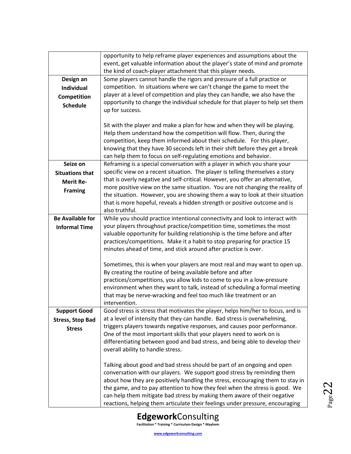|                         | opportunity to help reframe player experiences and assumptions about the                                                                                       |
|-------------------------|----------------------------------------------------------------------------------------------------------------------------------------------------------------|
|                         | event, get valuable information about the player's state of mind and promote                                                                                   |
|                         | the kind of coach-player attachment that this player needs.                                                                                                    |
| Design an               | Some players cannot handle the rigors and pressure of a full practice or                                                                                       |
| <b>Individual</b>       | competition. In situations where we can't change the game to meet the                                                                                          |
| Competition             | player at a level of competition and play they can handle, we also have the                                                                                    |
| <b>Schedule</b>         | opportunity to change the individual schedule for that player to help set them                                                                                 |
|                         | up for success.                                                                                                                                                |
|                         |                                                                                                                                                                |
|                         | Sit with the player and make a plan for how and when they will be playing.                                                                                     |
|                         | Help them understand how the competition will flow. Then, during the                                                                                           |
|                         | competition, keep them informed about their schedule. For this player,                                                                                         |
|                         | knowing that they have 30 seconds left in their shift before they get a break                                                                                  |
|                         | can help them to focus on self-regulating emotions and behavior.                                                                                               |
| Seize on                | Reframing is a special conversation with a player in which you share your                                                                                      |
| <b>Situations that</b>  | specific view on a recent situation. The player is telling themselves a story                                                                                  |
| <b>Merit Re-</b>        | that is overly negative and self-critical. However, you offer an alternative,<br>more positive view on the same situation. You are not changing the reality of |
| <b>Framing</b>          | the situation. However, you are showing them a way to look at their situation                                                                                  |
|                         | that is more hopeful, reveals a hidden strength or positive outcome and is                                                                                     |
|                         | also truthful.                                                                                                                                                 |
| <b>Be Available for</b> | While you should practice intentional connectivity and look to interact with                                                                                   |
| <b>Informal Time</b>    | your players throughout practice/competition time, sometimes the most                                                                                          |
|                         | valuable opportunity for building relationship is the time before and after                                                                                    |
|                         | practices/competitions. Make it a habit to stop preparing for practice 15                                                                                      |
|                         | minutes ahead of time, and stick around after practice is over.                                                                                                |
|                         |                                                                                                                                                                |
|                         | Sometimes, this is when your players are most real and may want to open up.                                                                                    |
|                         | By creating the routine of being available before and after                                                                                                    |
|                         | practices/competitions, you allow kids to come to you in a low-pressure                                                                                        |
|                         | environment when they want to talk, instead of scheduling a formal meeting                                                                                     |
|                         | that may be nerve-wracking and feel too much like treatment or an                                                                                              |
|                         | intervention.                                                                                                                                                  |
| <b>Support Good</b>     | Good stress is stress that motivates the player, helps him/her to focus, and is                                                                                |
| <b>Stress, Stop Bad</b> | at a level of intensity that they can handle. Bad stress is overwhelming,                                                                                      |
| <b>Stress</b>           | triggers players towards negative responses, and causes poor performance.<br>One of the most important skills that your players need to work on is             |
|                         | differentiating between good and bad stress, and being able to develop their                                                                                   |
|                         | overall ability to handle stress.                                                                                                                              |
|                         |                                                                                                                                                                |
|                         | Talking about good and bad stress should be part of an ongoing and open                                                                                        |
|                         | conversation with our players. We support good stress by reminding them                                                                                        |
|                         | about how they are positively handling the stress, encouraging them to stay in                                                                                 |
|                         | the game, and to pay attention to how they feel when the stress is good. We                                                                                    |
|                         | can help them mitigate bad stress by making them aware of their negative                                                                                       |
|                         | reactions, helping them articulate their feelings under pressure, encouraging                                                                                  |

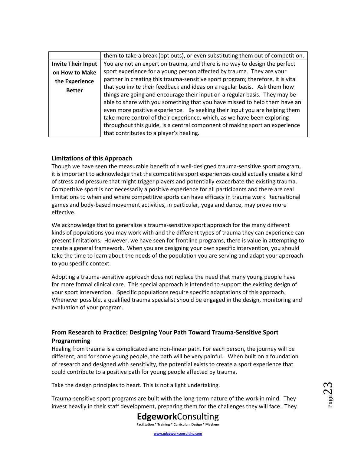|                                 | them to take a break (opt outs), or even substituting them out of competition.                                                                                                                                                                                                                                                                                                                                                                                                                                                                                   |
|---------------------------------|------------------------------------------------------------------------------------------------------------------------------------------------------------------------------------------------------------------------------------------------------------------------------------------------------------------------------------------------------------------------------------------------------------------------------------------------------------------------------------------------------------------------------------------------------------------|
| <b>Invite Their Input</b>       | You are not an expert on trauma, and there is no way to design the perfect                                                                                                                                                                                                                                                                                                                                                                                                                                                                                       |
| on How to Make                  | sport experience for a young person affected by trauma. They are your                                                                                                                                                                                                                                                                                                                                                                                                                                                                                            |
| the Experience<br><b>Better</b> | partner in creating this trauma-sensitive sport program; therefore, it is vital<br>that you invite their feedback and ideas on a regular basis. Ask them how<br>things are going and encourage their input on a regular basis. They may be<br>able to share with you something that you have missed to help them have an<br>even more positive experience. By seeking their input you are helping them<br>take more control of their experience, which, as we have been exploring<br>throughout this guide, is a central component of making sport an experience |
|                                 | that contributes to a player's healing.                                                                                                                                                                                                                                                                                                                                                                                                                                                                                                                          |

## <span id="page-22-0"></span>**Limitations of this Approach**

Though we have seen the measurable benefit of a well-designed trauma-sensitive sport program, it is important to acknowledge that the competitive sport experiences could actually create a kind of stress and pressure that might trigger players and potentially exacerbate the existing trauma. Competitive sport is not necessarily a positive experience for all participants and there are real limitations to when and where competitive sports can have efficacy in trauma work. Recreational games and body-based movement activities, in particular, yoga and dance, may prove more effective.

We acknowledge that to generalize a trauma-sensitive sport approach for the many different kinds of populations you may work with and the different types of trauma they can experience can present limitations. However, we have seen for frontline programs, there is value in attempting to create a general framework. When you are designing your own specific intervention, you should take the time to learn about the needs of the population you are serving and adapt your approach to you specific context.

Adopting a trauma-sensitive approach does not replace the need that many young people have for more formal clinical care. This special approach is intended to support the existing design of your sport intervention. Specific populations require specific adaptations of this approach. Whenever possible, a qualified trauma specialist should be engaged in the design, monitoring and evaluation of your program.

## <span id="page-22-1"></span>**From Research to Practice: Designing Your Path Toward Trauma-Sensitive Sport Programming**

Healing from trauma is a complicated and non-linear path. For each person, the journey will be different, and for some young people, the path will be very painful. When built on a foundation of research and designed with sensitivity, the potential exists to create a sport experience that could contribute to a positive path for young people affected by trauma.

Take the design principles to heart. This is not a light undertaking.

Trauma-sensitive sport programs are built with the long-term nature of the work in mind. They invest heavily in their staff development, preparing them for the challenges they will face. They

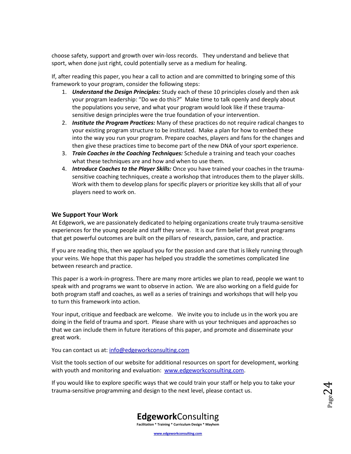choose safety, support and growth over win-loss records. They understand and believe that sport, when done just right, could potentially serve as a medium for healing.

If, after reading this paper, you hear a call to action and are committed to bringing some of this framework to your program, consider the following steps:

- 1. *Understand the Design Principles:* Study each of these 10 principles closely and then ask your program leadership: "Do we do this?" Make time to talk openly and deeply about the populations you serve, and what your program would look like if these traumasensitive design principles were the true foundation of your intervention.
- 2. *Institute the Program Practices:* Many of these practices do not require radical changes to your existing program structure to be instituted. Make a plan for how to embed these into the way you run your program. Prepare coaches, players and fans for the changes and then give these practices time to become part of the new DNA of your sport experience.
- 3. *Train Coaches in the Coaching Techniques:* Schedule a training and teach your coaches what these techniques are and how and when to use them.
- 4. *Introduce Coaches to the Player Skills:* Once you have trained your coaches in the traumasensitive coaching techniques, create a workshop that introduces them to the player skills. Work with them to develop plans for specific players or prioritize key skills that all of your players need to work on.

### **We Support Your Work**

At Edgework, we are passionately dedicated to helping organizations create truly trauma-sensitive experiences for the young people and staff they serve. It is our firm belief that great programs that get powerful outcomes are built on the pillars of research, passion, care, and practice.

If you are reading this, then we applaud you for the passion and care that is likely running through your veins. We hope that this paper has helped you straddle the sometimes complicated line between research and practice.

This paper is a work-in-progress. There are many more articles we plan to read, people we want to speak with and programs we want to observe in action. We are also working on a field guide for both program staff and coaches, as well as a series of trainings and workshops that will help you to turn this framework into action.

Your input, critique and feedback are welcome. We invite you to include us in the work you are doing in the field of trauma and sport. Please share with us your techniques and approaches so that we can include them in future iterations of this paper, and promote and disseminate your great work.

You can contact us at[: info@edgeworkconsulting.com](mailto:info@edgeworkconsulting.com)

Visit the tools section of our website for additional resources on sport for development, working with youth and monitoring and evaluation: [www.edgeworkconsulting.com.](http://www.edgeworkconsulting.com/)

If you would like to explore specific ways that we could train your staff or help you to take your trauma-sensitive programming and design to the next level, please contact us.

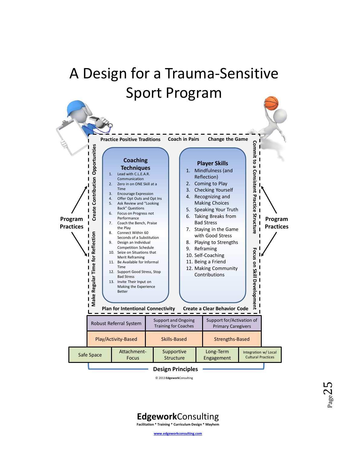## <span id="page-24-0"></span>A Design for a Trauma-Sensitive Sport Program



**Edgework**Consulting **Facilitation \* Training \* Curriculum Design \* Mayhem**

**www.edgeworkconsulting.com**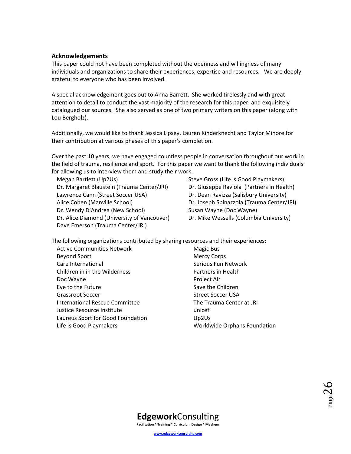### <span id="page-25-0"></span>**Acknowledgements**

This paper could not have been completed without the openness and willingness of many individuals and organizations to share their experiences, expertise and resources. We are deeply grateful to everyone who has been involved.

A special acknowledgement goes out to Anna Barrett. She worked tirelessly and with great attention to detail to conduct the vast majority of the research for this paper, and exquisitely catalogued our sources. She also served as one of two primary writers on this paper (along with Lou Bergholz).

Additionally, we would like to thank Jessica Lipsey, Lauren Kinderknecht and Taylor Minore for their contribution at various phases of this paper's completion.

Over the past 10 years, we have engaged countless people in conversation throughout our work in the field of trauma, resilience and sport. For this paper we want to thank the following individuals for allowing us to interview them and study their work.

Megan Bartlett (Up2Us) Dr. Margaret Blaustein (Trauma Center/JRI) Lawrence Cann (Street Soccer USA) Alice Cohen (Manville School) Dr. Wendy D'Andrea (New School) Dr. Alice Diamond (University of Vancouver) Dave Emerson (Trauma Center/JRI)

Steve Gross (Life is Good Playmakers) Dr. Giuseppe Raviola (Partners in Health) Dr. Dean Ravizza (Salisbury University) Dr. Joseph Spinazzola (Trauma Center/JRI) Susan Wayne (Doc Wayne) Dr. Mike Wessells (Columbia University)

The following organizations contributed by sharing resources and their experiences:

Active Communities Network Beyond Sport Care International Children in in the Wilderness Doc Wayne Eye to the Future Grassroot Soccer International Rescue Committee Justice Resource Institute Laureus Sport for Good Foundation Life is Good Playmakers

Magic Bus Mercy Corps Serious Fun Network Partners in Health Project Air Save the Children Street Soccer USA The Trauma Center at JRI unicef Up2Us Worldwide Orphans Foundation

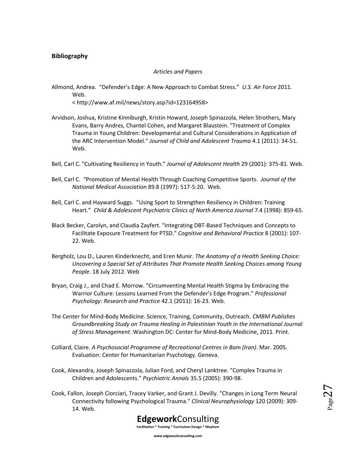## <span id="page-26-0"></span>**Bibliography**

#### *Articles and Papers*

Allmond, Andrea. "Defender's Edge: A New Approach to Combat Stress." *U.S. Air Force* 2011. Web.

< http://www.af.mil/news/story.asp?id=123164958>

- Arvidson, Joshua, Kristine Kinniburgh, Kristin Howard, Joseph Spinazzola, Helen Strothers, Mary Evans, Barry Andres, Chantel Cohen, and Margaret Blaustein. "Treatment of Complex Trauma in Young Children: Developmental and Cultural Considerations in Application of the ARC Intervention Model." *Journal of Child and Adolescent Trauma* 4.1 (2011): 34-51. Web.
- Bell, Carl C. "Cultivating Resiliency in Youth." *Journal of Adolescent Health* 29 (2001): 375-81. Web.
- Bell, Carl C. "Promotion of Mental Health Through Coaching Competitive Sports. *Journal of the National Medical Association* 89.8 (1997): 517-5:20. Web.
- Bell, Carl C. and Hayward Suggs. "Using Sport to Strengthen Resiliency in Children: Training Heart." Child & Adolescent Psychiatric Clinics of North America Journal 7.4 (1998): 859-65.
- Black Becker, Carolyn, and Claudia Zayfert. "Integrating DBT-Based Techniques and Concepts to Facilitate Exposure Treatment for PTSD." *Cognitive and Behavioral Practice* 8 (2001): 107- 22. Web.
- Bergholz, Lou D., Lauren Kinderknecht, and Eren Munir. *The Anatomy of a Health Seeking Choice: Uncovering a Special Set of Attributes That Promote Health Seeking Choices among Young People*. 18 July 2012. Web
- Bryan, Craig J., and Chad E. Morrow. "Circumventing Mental Health Stigma by Embracing the Warrior Culture: Lessons Learned From the Defender's Edge Program." *Professional Psychology: Research and Practice* 42.1 (2011): 16-23. Web.
- The Center for Mind-Body Medicine. Science, Training, Community, Outreach. *CMBM Publishes Groundbreaking Study on Trauma Healing in Palestinian Youth in the International Journal of Stress Management*. Washington DC: Center for Mind-Body Medicine, 2011. Print.
- Colliard, Claire. *A Psychosocial Programme of Recreational Centres in Bam (Iran)*. Mar. 2005. Evaluation: Center for Humanitarian Psychology. Geneva.
- Cook, Alexandra, Joseph Spinazzola, Julian Ford, and Cheryl Lanktree. "Complex Trauma in Children and Adolescents." *Psychiatric Annals* 35.5 (2005): 390-98.
- Cook, Fallon, Joseph Ciorciari, Tracey Varker, and Grant J. Devilly. "Changes in Long Term Neural Connectivity following Psychological Trauma." *Clinical Neurophysiology* 120 (2009): 309- 14. Web.

Page27

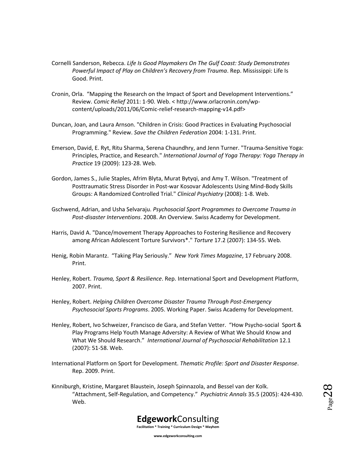- Cornelli Sanderson, Rebecca. *Life Is Good Playmakers On The Gulf Coast: Study Demonstrates Powerful Impact of Play on Children's Recovery from Trauma*. Rep. Mississippi: Life Is Good. Print.
- Cronin, Orla. "Mapping the Research on the Impact of Sport and Development Interventions." Review. *Comic Relief* 2011: 1-90. Web. < http://www.orlacronin.com/wpcontent/uploads/2011/06/Comic-relief-research-mapping-v14.pdf>
- Duncan, Joan, and Laura Arnson. "Children in Crisis: Good Practices in Evaluating Psychosocial Programming." Review. *Save the Children Federation* 2004: 1-131. Print.
- Emerson, David, E. Ryt, Ritu Sharma, Serena Chaundhry, and Jenn Turner. "Trauma-Sensitive Yoga: Principles, Practice, and Research." *International Journal of Yoga Therapy: Yoga Therapy in Practice* 19 (2009): 123-28. Web.
- Gordon, James S., Julie Staples, Afrim Blyta, Murat Bytyqi, and Amy T. Wilson. "Treatment of Posttraumatic Stress Disorder in Post-war Kosovar Adolescents Using Mind-Body Skills Groups: A Randomized Controlled Trial." *Clinical Psychiatry* (2008): 1-8. Web.
- Gschwend, Adrian, and Usha Selvaraju. *Psychosocial Sport Programmes to Overcome Trauma in Post-disaster Interventions*. 2008. An Overview. Swiss Academy for Development.
- Harris, David A. "Dance/movement Therapy Approaches to Fostering Resilience and Recovery among African Adolescent Torture Survivors\*." *Torture* 17.2 (2007): 134-55. Web.
- Henig, Robin Marantz. "Taking Play Seriously." *New York Times Magazine*, 17 February 2008. Print.
- Henley, Robert. *Trauma, Sport & Resilience*. Rep. International Sport and Development Platform, 2007. Print.
- Henley, Robert. *Helping Children Overcome Disaster Trauma Through Post-Emergency Psychosocial Sports Programs*. 2005. Working Paper. Swiss Academy for Development.
- Henley, Robert, Ivo Schweizer, Francisco de Gara, and Stefan Vetter. "How Psycho-social Sport & Play Programs Help Youth Manage Adversity: A Review of What We Should Know and What We Should Research." *International Journal of Psychosocial Rehabilitation* 12.1 (2007): 51-58. Web.
- International Platform on Sport for Development. *Thematic Profile: Sport and Disaster Response*. Rep. 2009. Print.
- Kinniburgh, Kristine, Margaret Blaustein, Joseph Spinnazola, and Bessel van der Kolk. "Attachment, Self-Regulation, and Competency." *Psychiatric Annals* 35.5 (2005): 424-430. Web.

Page28



**www.edgeworkconsulting.com**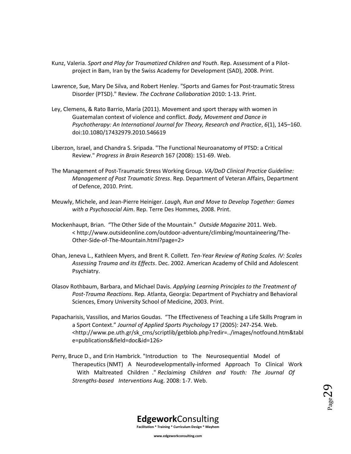- Kunz, Valeria. *Sport and Play for Traumatized Children and Youth*. Rep. Assessment of a Pilotproject in Bam, Iran by the Swiss Academy for Development (SAD), 2008. Print.
- Lawrence, Sue, Mary De Silva, and Robert Henley. "Sports and Games for Post-traumatic Stress Disorder (PTSD)." Review. *The Cochrane Collaboration* 2010: 1-13. Print.
- Ley, Clemens, & Rato Barrio, María (2011). Movement and sport therapy with women in Guatemalan context of violence and conflict. *Body, Movement and Dance in Psychotherapy: An International Journal for Theory, Research and Practice*, *6*(1), 145–160. doi:10.1080/17432979.2010.546619
- Liberzon, Israel, and Chandra S. Sripada. "The Functional Neuroanatomy of PTSD: a Critical Review." *Progress in Brain Research* 167 (2008): 151-69. Web.
- The Management of Post-Traumatic Stress Working Group. *VA/DoD Clinical Practice Guideline: Management of Post Traumatic Stress*. Rep. Department of Veteran Affairs, Department of Defence, 2010. Print.
- Meuwly, Michele, and Jean-Pierre Heiniger. *Laugh, Run and Move to Develop Together: Games with a Psychosocial Aim*. Rep. Terre Des Hommes, 2008. Print.
- Mockenhaupt, Brian. "The Other Side of the Mountain." *Outside Magazine* 2011. Web. < http://www.outsideonline.com/outdoor-adventure/climbing/mountaineering/The-Other-Side-of-The-Mountain.html?page=2>
- Ohan, Jeneva L., Kathleen Myers, and Brent R. Collett. *Ten-Year Review of Rating Scales. IV: Scales Assessing Trauma and its Effects*. Dec. 2002. American Academy of Child and Adolescent Psychiatry.
- Olasov Rothbaum, Barbara, and Michael Davis. *Applying Learning Principles to the Treatment of Post-Trauma Reactions*. Rep. Atlanta, Georgia: Department of Psychiatry and Behavioral Sciences, Emory University School of Medicine, 2003. Print.
- Papacharisis, Vassilios, and Marios Goudas. "The Effectiveness of Teaching a Life Skills Program in a Sport Context." *Journal of Applied Sports Psychology* 17 (2005): 247-254. Web. <http://www.pe.uth.gr/sk\_cms/scriptlib/getblob.php?redir=../images/notfound.htm&tabl e=publications&field=doc&id=126>
- Perry, Bruce D., and Erin Hambrick. "Introduction to The Neurosequential Model of Therapeutics (NMT) A Neurodevelopmentally‐informed Approach To Clinical Work With Maltreated Children ." *Reclaiming Children and Youth: The Journal Of Strengths-based Interventions* Aug. 2008: 1-7. Web.

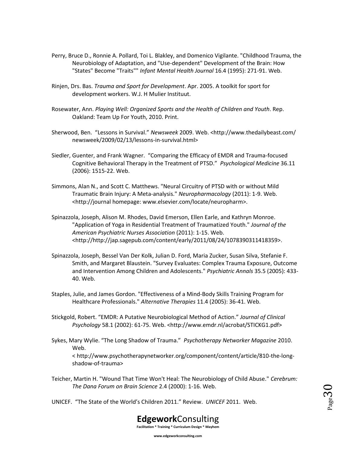- Perry, Bruce D., Ronnie A. Pollard, Toi L. Blakley, and Domenico Vigilante. "Childhood Trauma, the Neurobiology of Adaptation, and "Use-dependent" Development of the Brain: How "States" Become "Traits"" *Infant Mental Health Journal* 16.4 (1995): 271-91. Web.
- Rinjen, Drs. Bas. *Trauma and Sport for Development*. Apr. 2005. A toolkit for sport for development workers. W.J. H Mulier Instituut.
- Rosewater, Ann. *Playing Well: Organized Sports and the Health of Children and Youth*. Rep. Oakland: Team Up For Youth, 2010. Print.
- Sherwood, Ben. "Lessons in Survival." *Newsweek* 2009. Web. <http://www.thedailybeast.com/ newsweek/2009/02/13/lessons-in-survival.html>
- Siedler, Guenter, and Frank Wagner. "Comparing the Efficacy of EMDR and Trauma-focused Cognitive Behavioral Therapy in the Treatment of PTSD." *Psychological Medicine* 36.11 (2006): 1515-22. Web.
- Simmons, Alan N., and Scott C. Matthews. "Neural Circuitry of PTSD with or without Mild Traumatic Brain Injury: A Meta-analysis." *Neuropharmacology* (2011): 1-9. Web. <http://journal homepage: www.elsevier.com/locate/neuropharm>.
- Spinazzola, Joseph, Alison M. Rhodes, David Emerson, Ellen Earle, and Kathryn Monroe. "Application of Yoga in Residential Treatment of Traumatized Youth." *Journal of the American Psychiatric Nurses Association* (2011): 1-15. Web. <http://http://jap.sagepub.com/content/early/2011/08/24/1078390311418359>.
- Spinazzola, Joseph, Bessel Van Der Kolk, Julian D. Ford, Maria Zucker, Susan Silva, Stefanie F. Smith, and Margaret Blaustein. "Survey Evaluates: Complex Trauma Exposure, Outcome and Intervention Among Children and Adolescents." *Psychiatric Annals* 35.5 (2005): 433- 40. Web.
- Staples, Julie, and James Gordon. "Effectiveness of a Mind-Body Skills Training Program for Healthcare Professionals." *Alternative Therapies* 11.4 (2005): 36-41. Web.
- Stickgold, Robert. "EMDR: A Putative Neurobiological Method of Action." *Journal of Clinical Psychology* 58.1 (2002): 61-75. Web. <http://www.emdr.nl/acrobat/STICKG1.pdf>
- Sykes, Mary Wylie. "The Long Shadow of Trauma." *Psychotherapy Networker Magazine* 2010. Web. < http://www.psychotherapynetworker.org/component/content/article/810-the-longshadow-of-trauma>
- Teicher, Martin H. "Wound That Time Won't Heal: The Neurobiology of Child Abuse." *Cerebrum: The Dana Forum on Brain Science* 2.4 (2000): 1-16. Web.
- UNICEF. "The State of the World's Children 2011." Review. *UNICEF* 2011. Web.

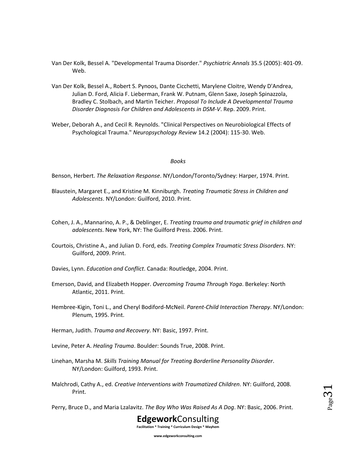- Van Der Kolk, Bessel A. "Developmental Trauma Disorder." *Psychiatric Annals* 35.5 (2005): 401-09. Web.
- Van Der Kolk, Bessel A., Robert S. Pynoos, Dante Cicchetti, Marylene Cloitre, Wendy D'Andrea, Julian D. Ford, Alicia F. Lieberman, Frank W. Putnam, Glenn Saxe, Joseph Spinazzola, Bradley C. Stolbach, and Martin Teicher. *Proposal To Include A Developmental Trauma Disorder Diagnosis For Children and Adolescents in DSM-V*. Rep. 2009. Print.
- Weber, Deborah A., and Cecil R. Reynolds. "Clinical Perspectives on Neurobiological Effects of Psychological Trauma." *Neuropsychology Review* 14.2 (2004): 115-30. Web.

#### *Books*

Benson, Herbert. *The Relaxation Response*. NY/London/Toronto/Sydney: Harper, 1974. Print.

- Blaustein, Margaret E., and Kristine M. Kinniburgh. *Treating Traumatic Stress in Children and Adolescents*. NY/London: Guilford, 2010. Print.
- Cohen, J. A., Mannarino, A. P., & Deblinger, E. *Treating trauma and traumatic grief in children and adolescents*. New York, NY: The Guilford Press. 2006. Print.
- Courtois, Christine A., and Julian D. Ford, eds. *Treating Complex Traumatic Stress Disorders*. NY: Guilford, 2009. Print.
- Davies, Lynn. *Education and Conflict*. Canada: Routledge, 2004. Print.
- Emerson, David, and Elizabeth Hopper. *Overcoming Trauma Through Yoga*. Berkeley: North Atlantic, 2011. Print.
- Hembree-Kigin, Toni L., and Cheryl Bodiford-McNeil. *Parent-Child Interaction Therapy*. NY/London: Plenum, 1995. Print.
- Herman, Judith. *Trauma and Recovery*. NY: Basic, 1997. Print.
- Levine, Peter A. *Healing Trauma*. Boulder: Sounds True, 2008. Print.
- Linehan, Marsha M. *Skills Training Manual for Treating Borderline Personality Disorder*. NY/London: Guilford, 1993. Print.
- Malchrodi, Cathy A., ed. *Creative Interventions with Traumatized Children*. NY: Guilford, 2008. Print.

Perry, Bruce D., and Maria Lzalavitz. *The Boy Who Was Raised As A Dog*. NY: Basic, 2006. Print.

Page31